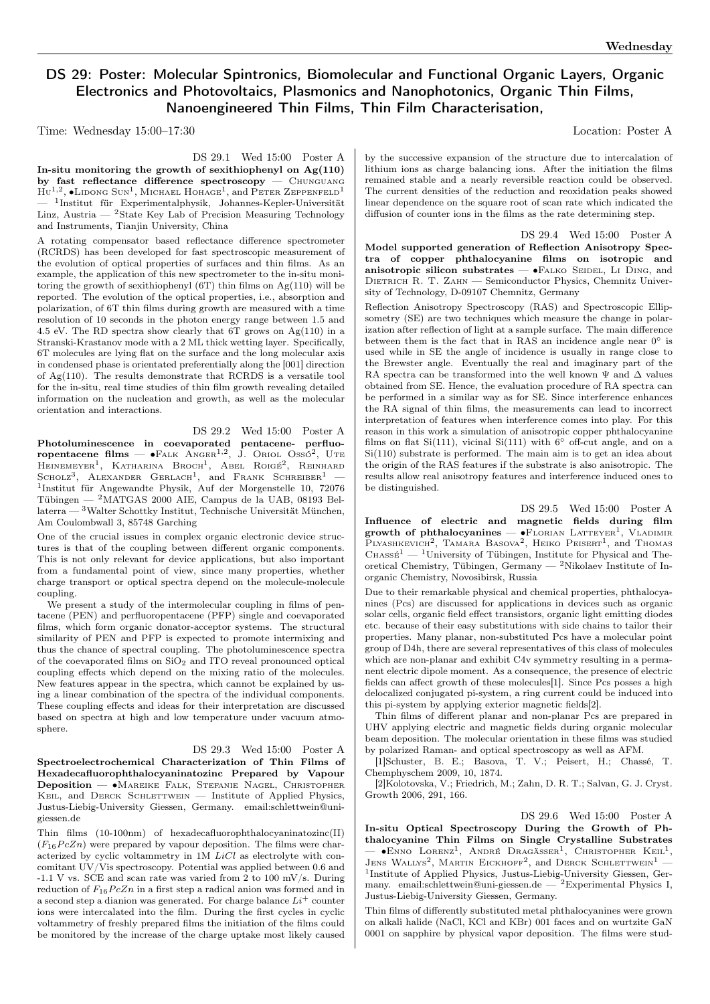# DS 29: Poster: Molecular Spintronics, Biomolecular and Functional Organic Layers, Organic Electronics and Photovoltaics, Plasmonics and Nanophotonics, Organic Thin Films, Nanoengineered Thin Films, Thin Film Characterisation,

Time: Wednesday 15:00–17:30 Location: Poster A

DS 29.1 Wed 15:00 Poster A

In-situ monitoring the growth of sexithiophenyl on Ag(110) by fast reflectance difference spectroscopy — Chunguang  $\rm{Hu^{1,2}}$ ,  $\bullet$ Lidong Sun<sup>1</sup>, Michael Hohage<sup>1</sup>, and Peter Zeppenfeld<sup>1</sup> — <sup>1</sup> Institut für Experimentalphysik, Johannes-Kepler-Universität Linz, Austria —  ${}^{2}$ State Key Lab of Precision Measuring Technology and Instruments, Tianjin University, China

A rotating compensator based reflectance difference spectrometer (RCRDS) has been developed for fast spectroscopic measurement of the evolution of optical properties of surfaces and thin films. As an example, the application of this new spectrometer to the in-situ monitoring the growth of sexithiophenyl  $(6T)$  thin films on  $Ag(110)$  will be reported. The evolution of the optical properties, i.e., absorption and polarization, of 6T thin films during growth are measured with a time resolution of 10 seconds in the photon energy range between 1.5 and 4.5 eV. The RD spectra show clearly that 6T grows on Ag(110) in a Stranski-Krastanov mode with a 2 ML thick wetting layer. Specifically, 6T molecules are lying flat on the surface and the long molecular axis in condensed phase is orientated preferentially along the [001] direction of Ag(110). The results demonstrate that RCRDS is a versatile tool for the in-situ, real time studies of thin film growth revealing detailed information on the nucleation and growth, as well as the molecular orientation and interactions.

DS 29.2 Wed 15:00 Poster A Photoluminescence in coevaporated pentacene- perfluoropentacene films — •FALK ANGER<sup>1,2</sup>, J. ORIOL OSSÓ<sup>2</sup>, UTE Heinemeyer<sup>1</sup>, Katharina Broch<sup>1</sup>, Abel Roigé<sup>2</sup>, Reinhard SCHOLZ<sup>3</sup>, ALEXANDER GERLACH<sup>1</sup>, and FRANK SCHREIBER<sup>1</sup> – 1 Institut für Angewandte Physik, Auf der Morgenstelle 10, 72076 Tübingen — <sup>2</sup>MATGAS 2000 AIE, Campus de la UAB, 08193 Bellaterra — <sup>3</sup>Walter Schottky Institut, Technische Universität München, Am Coulombwall 3, 85748 Garching

One of the crucial issues in complex organic electronic device structures is that of the coupling between different organic components. This is not only relevant for device applications, but also important from a fundamental point of view, since many properties, whether charge transport or optical spectra depend on the molecule-molecule coupling.

We present a study of the intermolecular coupling in films of pentacene (PEN) and perfluoropentacene (PFP) single and coevaporated films, which form organic donator-acceptor systems. The structural similarity of PEN and PFP is expected to promote intermixing and thus the chance of spectral coupling. The photoluminescence spectra of the coevaporated films on  $SiO<sub>2</sub>$  and ITO reveal pronounced optical coupling effects which depend on the mixing ratio of the molecules. New features appear in the spectra, which cannot be explained by using a linear combination of the spectra of the individual components. These coupling effects and ideas for their interpretation are discussed based on spectra at high and low temperature under vacuum atmosphere.

## DS 29.3 Wed 15:00 Poster A

Spectroelectrochemical Characterization of Thin Films of Hexadecafluorophthalocyaninatozinc Prepared by Vapour Deposition — ∙Mareike Falk, Stefanie Nagel, Christopher  $KEL,$  and DERCK SCHLETTWEIN — Institute of Applied Physics, Justus-Liebig-University Giessen, Germany. email:schlettwein@unigiessen.de

Thin films (10-100nm) of hexadecafluorophthalocyaninatozinc(II)  $(F_{16}PcZn)$  were prepared by vapour deposition. The films were characterized by cyclic voltammetry in  $1M$   $LiCl$  as electrolyte with concomitant UV/Vis spectroscopy. Potential was applied between 0.6 and -1.1 V vs. SCE and scan rate was varied from 2 to 100 mV/s. During reduction of  $F_{16}PcZn$  in a first step a radical anion was formed and in a second step a dianion was generated. For charge balance  $Li^+$  counter ions were intercalated into the film. During the first cycles in cyclic voltammetry of freshly prepared films the initiation of the films could be monitored by the increase of the charge uptake most likely caused

by the successive expansion of the structure due to intercalation of lithium ions as charge balancing ions. After the initiation the films remained stable and a nearly reversible reaction could be observed. The current densities of the reduction and reoxidation peaks showed linear dependence on the square root of scan rate which indicated the diffusion of counter ions in the films as the rate determining step.

DS 29.4 Wed 15:00 Poster A Model supported generation of Reflection Anisotropy Spectra of copper phthalocyanine films on isotropic and anisotropic silicon substrates —  $\bullet$ FALKO SEIDEL, LI DING, and DIETRICH R. T. ZAHN — Semiconductor Physics, Chemnitz University of Technology, D-09107 Chemnitz, Germany

Reflection Anisotropy Spectroscopy (RAS) and Spectroscopic Ellipsometry (SE) are two techniques which measure the change in polarization after reflection of light at a sample surface. The main difference between them is the fact that in RAS an incidence angle near 0<sup>∘</sup> is used while in SE the angle of incidence is usually in range close to the Brewster angle. Eventually the real and imaginary part of the RA spectra can be transformed into the well known  $\Psi$  and  $\Delta$  values obtained from SE. Hence, the evaluation procedure of RA spectra can be performed in a similar way as for SE. Since interference enhances the RA signal of thin films, the measurements can lead to incorrect interpretation of features when interference comes into play. For this reason in this work a simulation of anisotropic copper phthalocyanine films on flat Si(111), vicinal Si(111) with 6<sup>∘</sup> off-cut angle, and on a Si(110) substrate is performed. The main aim is to get an idea about the origin of the RAS features if the substrate is also anisotropic. The results allow real anisotropy features and interference induced ones to be distinguished.

DS 29.5 Wed 15:00 Poster A Influence of electric and magnetic fields during film growth of phthalocyanines  $-$  • FLORIAN LATTEYER<sup>1</sup>, VLADIMIR  $P<sub>LYASHKEVICH</sub><sup>2</sup>$ , Tamara Basova<sup>2</sup>, Heiko Peisert<sup>1</sup>, and Thomas  $\text{Chassé}^{1}$  — <sup>1</sup>University of Tübingen, Institute for Physical and Theoretical Chemistry, Tübingen, Germany —  $2$ Nikolaev Institute of Inorganic Chemistry, Novosibirsk, Russia

Due to their remarkable physical and chemical properties, phthalocyanines (Pcs) are discussed for applications in devices such as organic solar cells, organic field effect transistors, organic light emitting diodes etc. because of their easy substitutions with side chains to tailor their properties. Many planar, non-substituted Pcs have a molecular point group of D4h, there are several representatives of this class of molecules which are non-planar and exhibit C4v symmetry resulting in a permanent electric dipole moment. As a consequence, the presence of electric fields can affect growth of these molecules[1]. Since Pcs posses a high delocalized conjugated pi-system, a ring current could be induced into this pi-system by applying exterior magnetic fields[2].

Thin films of different planar and non-planar Pcs are prepared in UHV applying electric and magnetic fields during organic molecular beam deposition. The molecular orientation in these films was studied by polarized Raman- and optical spectroscopy as well as AFM.

[1]Schuster, B. E.; Basova, T. V.; Peisert, H.; Chassé, T. Chemphyschem 2009, 10, 1874.

[2]Kolotovska, V.; Friedrich, M.; Zahn, D. R. T.; Salvan, G. J. Cryst. Growth 2006, 291, 166.

DS 29.6 Wed 15:00 Poster A In-situ Optical Spectroscopy During the Growth of Phthalocyanine Thin Films on Single Crystalline Substrates —  $\bullet$ Enno Lorenz<sup>1</sup>, André Dragässer<sup>1</sup>, Christopher Keil<sup>1</sup>, Jens Wallys<sup>2</sup>, Martin Eickhoff<sup>2</sup>, and Derck Schlettwein<sup>1</sup> — 1 Institute of Applied Physics, Justus-Liebig-University Giessen, Germany. email:schlettwein@uni-giessen.de —  ${}^{2}$ Experimental Physics I, Justus-Liebig-University Giessen, Germany.

Thin films of differently substituted metal phthalocyanines were grown on alkali halide (NaCl, KCl and KBr) 001 faces and on wurtzite GaN 0001 on sapphire by physical vapor deposition. The films were stud-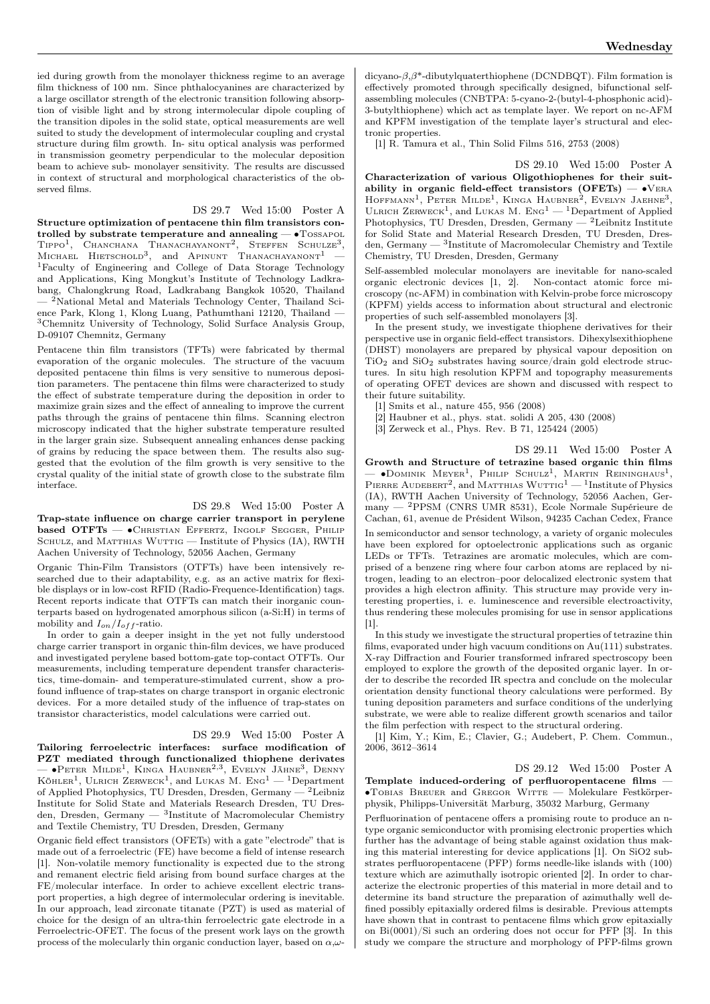ied during growth from the monolayer thickness regime to an average film thickness of 100 nm. Since phthalocyanines are characterized by a large oscillator strength of the electronic transition following absorption of visible light and by strong intermolecular dipole coupling of the transition dipoles in the solid state, optical measurements are well suited to study the development of intermolecular coupling and crystal structure during film growth. In- situ optical analysis was performed in transmission geometry perpendicular to the molecular deposition beam to achieve sub- monolayer sensitivity. The results are discussed in context of structural and morphological characteristics of the observed films.

## DS 29.7 Wed 15:00 Poster A

Structure optimization of pentacene thin film transistors controlled by substrate temperature and annealing — •TOSSAPOL Tippo<sup>1</sup>, Chanchana Thanachayanont<sup>2</sup>, Steffen Schulze<sup>3</sup>, Michael Hietschold<sup>3</sup>, and Apinunt Thanachayanont<sup>1</sup> — <sup>1</sup>Faculty of Engineering and College of Data Storage Technology and Applications, King Mongkut's Institute of Technology Ladkrabang, Chalongkrung Road, Ladkrabang Bangkok 10520, Thailand <sup>2</sup>National Metal and Materials Technology Center, Thailand Science Park, Klong 1, Klong Luang, Pathumthani 12120, Thailand — <sup>3</sup>Chemnitz University of Technology, Solid Surface Analysis Group, D-09107 Chemnitz, Germany

Pentacene thin film transistors (TFTs) were fabricated by thermal evaporation of the organic molecules. The structure of the vacuum deposited pentacene thin films is very sensitive to numerous deposition parameters. The pentacene thin films were characterized to study the effect of substrate temperature during the deposition in order to maximize grain sizes and the effect of annealing to improve the current paths through the grains of pentacene thin films. Scanning electron microscopy indicated that the higher substrate temperature resulted in the larger grain size. Subsequent annealing enhances dense packing of grains by reducing the space between them. The results also suggested that the evolution of the film growth is very sensitive to the crystal quality of the initial state of growth close to the substrate film interface.

## DS 29.8 Wed 15:00 Poster A

Trap-state influence on charge carrier transport in perylene based OTFTs — • CHRISTIAN EFFERTZ, INGOLF SEGGER, PHILIP SCHULZ, and MATTHIAS WUTTIG — Institute of Physics (IA), RWTH Aachen University of Technology, 52056 Aachen, Germany

Organic Thin-Film Transistors (OTFTs) have been intensively researched due to their adaptability, e.g. as an active matrix for flexible displays or in low-cost RFID (Radio-Frequence-Identification) tags. Recent reports indicate that OTFTs can match their inorganic counterparts based on hydrogenated amorphous silicon (a-Si:H) in terms of mobility and  $I_{on}/I_{off}\mbox{-ratio}.$ 

In order to gain a deeper insight in the yet not fully understood charge carrier transport in organic thin-film devices, we have produced and investigated perylene based bottom-gate top-contact OTFTs. Our measurements, including temperature dependent transfer characteristics, time-domain- and temperature-stimulated current, show a profound influence of trap-states on charge transport in organic electronic devices. For a more detailed study of the influence of trap-states on transistor characteristics, model calculations were carried out.

DS 29.9 Wed 15:00 Poster A Tailoring ferroelectric interfaces: surface modification of PZT mediated through functionalized thiophene derivates — ∙Peter Milde<sup>1</sup> , Kinga Haubner2,<sup>3</sup> , Evelyn Jähne<sup>3</sup> , Denny Köhler<sup>1</sup>, Ulrich Zerweck<sup>1</sup>, and Lukas M. Eng<sup>1</sup> — <sup>1</sup>Department of Applied Photophysics, TU Dresden, Dresden, Germany  $-$  <sup>2</sup>Leibniz Institute for Solid State and Materials Research Dresden, TU Dresden, Dresden, Germany — <sup>3</sup> Institute of Macromolecular Chemistry and Textile Chemistry, TU Dresden, Dresden, Germany

Organic field effect transistors (OFETs) with a gate "electrode" that is made out of a ferroelectric (FE) have become a field of intense research [1]. Non-volatile memory functionality is expected due to the strong and remanent electric field arising from bound surface charges at the FE/molecular interface. In order to achieve excellent electric transport properties, a high degree of intermolecular ordering is inevitable. In our approach, lead zirconate titanate (PZT) is used as material of choice for the design of an ultra-thin ferroelectric gate electrode in a Ferroelectric-OFET. The focus of the present work lays on the growth process of the molecularly thin organic conduction layer, based on  $\alpha,\omega$ -

dicyano- $\beta$ , $\beta^*$ -dibutylquaterthiophene (DCNDBQT). Film formation is effectively promoted through specifically designed, bifunctional selfassembling molecules (CNBTPA: 5-cyano-2-(butyl-4-phosphonic acid)- 3-butylthiophene) which act as template layer. We report on nc-AFM and KPFM investigation of the template layer's structural and electronic properties.

[1] R. Tamura et al., Thin Solid Films 516, 2753 (2008)

DS 29.10 Wed 15:00 Poster A

Characterization of various Oligothiophenes for their suitability in organic field-effect transistors (OFETs) — •VERA HOFFMANN<sup>1</sup>, PETER MILDE<sup>1</sup>, KINGA HAUBNER<sup>2</sup>, EVELYN JAEHNE<sup>3</sup>, ULRICH ZERWECK<sup>1</sup>, and LUKAS M. Eng<sup>1</sup> — <sup>1</sup>Department of Applied Photophysics, TU Dresden, Dresden, Germany — <sup>2</sup>Leibnitz Institute for Solid State and Material Research Dresden, TU Dresden, Dresden, Germany — <sup>3</sup> Institute of Macromolecular Chemistry and Textile Chemistry, TU Dresden, Dresden, Germany

Self-assembled molecular monolayers are inevitable for nano-scaled organic electronic devices [1, 2]. Non-contact atomic force microscopy (nc-AFM) in combination with Kelvin-probe force microscopy (KPFM) yields access to information about structural and electronic properties of such self-assembled monolayers [3].

In the present study, we investigate thiophene derivatives for their perspective use in organic field-effect transistors. Dihexylsexithiophene (DHST) monolayers are prepared by physical vapour deposition on  $TiO<sub>2</sub>$  and  $SiO<sub>2</sub>$  substrates having source/drain gold electrode structures. In situ high resolution KPFM and topography measurements of operating OFET devices are shown and discussed with respect to their future suitability.

[1] Smits et al., nature 455, 956 (2008)

[2] Haubner et al., phys. stat. solidi A 205, 430 (2008)

[3] Zerweck et al., Phys. Rev. B 71, 125424 (2005)

DS 29.11 Wed 15:00 Poster A

Growth and Structure of tetrazine based organic thin films  $-$  •Dominik Meyer<sup>1</sup>, Philip Schulz<sup>1</sup>, Martin Reininghaus<sup>1</sup>, PIERRE AUDEBERT<sup>2</sup>, and MATTHIAS  $W$ UTTIG<sup>1</sup> — <sup>1</sup>Institute of Physics (IA), RWTH Aachen University of Technology, 52056 Aachen, Germany — <sup>2</sup>PPSM (CNRS UMR 8531), Ecole Normale Supérieure de Cachan, 61, avenue de Président Wilson, 94235 Cachan Cedex, France In semiconductor and sensor technology, a variety of organic molecules have been explored for optoelectronic applications such as organic LEDs or TFTs. Tetrazines are aromatic molecules, which are comprised of a benzene ring where four carbon atoms are replaced by nitrogen, leading to an electron–poor delocalized electronic system that provides a high electron affinity. This structure may provide very interesting properties, i. e. luminescence and reversible electroactivity, thus rendering these molecules promising for use in sensor applications [1].

In this study we investigate the structural properties of tetrazine thin films, evaporated under high vacuum conditions on Au(111) substrates. X-ray Diffraction and Fourier transformed infrared spectroscopy been employed to explore the growth of the deposited organic layer. In order to describe the recorded IR spectra and conclude on the molecular orientation density functional theory calculations were performed. By tuning deposition parameters and surface conditions of the underlying substrate, we were able to realize different growth scenarios and tailor the film perfection with respect to the structural ordering.

[1] Kim, Y.; Kim, E.; Clavier, G.; Audebert, P. Chem. Commun., 2006, 3612–3614

DS 29.12 Wed 15:00 Poster A Template induced-ordering of perfluoropentacene films — ∙Tobias Breuer and Gregor Witte — Molekulare Festkörperphysik, Philipps-Universität Marburg, 35032 Marburg, Germany

Perfluorination of pentacene offers a promising route to produce an ntype organic semiconductor with promising electronic properties which further has the advantage of being stable against oxidation thus making this material interesting for device applications [1]. On SiO2 substrates perfluoropentacene (PFP) forms needle-like islands with (100) texture which are azimuthally isotropic oriented [2]. In order to characterize the electronic properties of this material in more detail and to determine its band structure the preparation of azimuthally well defined possibly epitaxially ordered films is desirable. Previous attempts have shown that in contrast to pentacene films which grow epitaxially on Bi(0001)/Si such an ordering does not occur for PFP [3]. In this study we compare the structure and morphology of PFP-films grown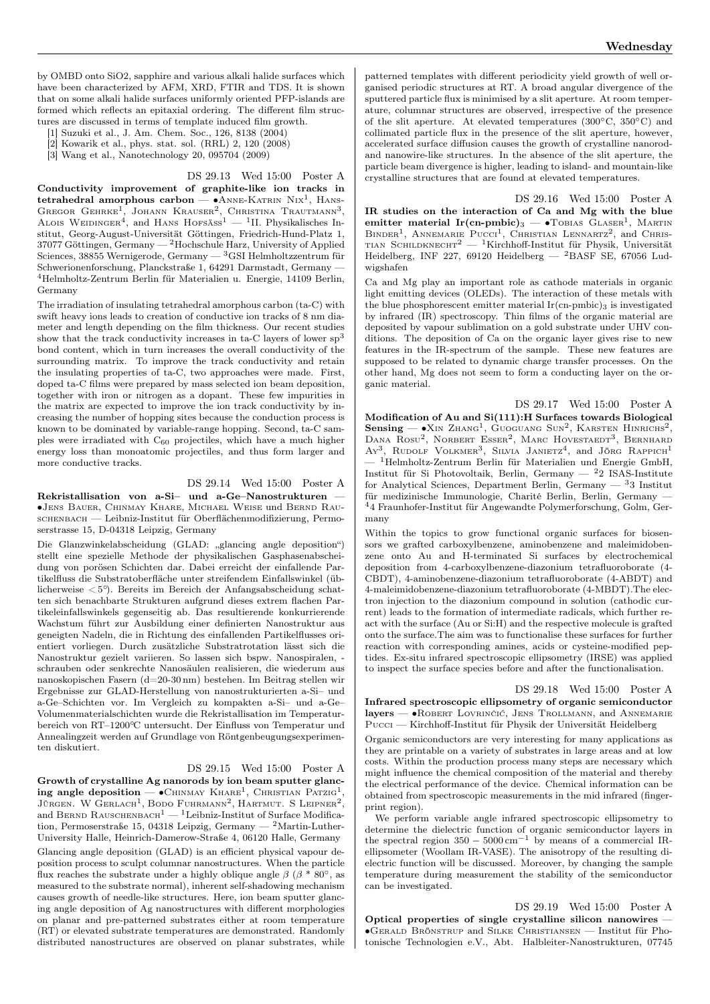by OMBD onto SiO2, sapphire and various alkali halide surfaces which have been characterized by AFM, XRD, FTIR and TDS. It is shown that on some alkali halide surfaces uniformly oriented PFP-islands are formed which reflects an epitaxial ordering. The different film structures are discussed in terms of template induced film growth.

[1] Suzuki et al., J. Am. Chem. Soc., 126, 8138 (2004)

[3] Wang et al., Nanotechnology 20, 095704 (2009)

DS 29.13 Wed 15:00 Poster A

Conductivity improvement of graphite-like ion tracks in tetrahedral amorphous carbon —  $\bullet$  Anne-Katrin Nix<sup>1</sup>, Hans-GREGOR GEHRKE<sup>1</sup>, JOHANN KRAUSER<sup>2</sup>, CHRISTINA TRAUTMANN<sup>3</sup>, ALOIS WEIDINGER<sup>4</sup>, and HANS HOFSÄSS<sup>1</sup> — <sup>1</sup>II. Physikalisches Institut, Georg-August-Universität Göttingen, Friedrich-Hund-Platz 1, 37077 Göttingen, Germany — <sup>2</sup>Hochschule Harz, University of Applied Sciences, 38855 Wernigerode, Germany — <sup>3</sup>GSI Helmholtzzentrum für Schwerionenforschung, Planckstraße 1, 64291 Darmstadt, Germany — <sup>4</sup>Helmholtz-Zentrum Berlin für Materialien u. Energie, 14109 Berlin, Germany

The irradiation of insulating tetrahedral amorphous carbon (ta-C) with swift heavy ions leads to creation of conductive ion tracks of 8 nm diameter and length depending on the film thickness. Our recent studies show that the track conductivity increases in ta-C layers of lower sp<sup>3</sup> bond content, which in turn increases the overall conductivity of the surrounding matrix. To improve the track conductivity and retain the insulating properties of ta-C, two approaches were made. First, doped ta-C films were prepared by mass selected ion beam deposition, together with iron or nitrogen as a dopant. These few impurities in the matrix are expected to improve the ion track conductivity by increasing the number of hopping sites because the conduction process is known to be dominated by variable-range hopping. Second, ta-C samples were irradiated with  $C_{60}$  projectiles, which have a much higher energy loss than monoatomic projectiles, and thus form larger and more conductive tracks.

## DS 29.14 Wed 15:00 Poster A

Rekristallisation von a-Si– und a-Ge–Nanostrukturen — ∙Jens Bauer, Chinmay Khare, Michael Weise und Bernd Rauschenbach — Leibniz-Institut für Oberflächenmodifizierung, Permoserstrasse 15, D-04318 Leipzig, Germany

Die Glanzwinkelabscheidung (GLAD: "glancing angle deposition") stellt eine spezielle Methode der physikalischen Gasphasenabscheidung von porösen Schichten dar. Dabei erreicht der einfallende Partikelfluss die Substratoberfläche unter streifendem Einfallswinkel (üblicherweise < 5∘). Bereits im Bereich der Anfangsabscheidung schatten sich benachbarte Strukturen aufgrund dieses extrem flachen Partikeleinfallswinkels gegenseitig ab. Das resultierende konkurrierende Wachstum führt zur Ausbildung einer definierten Nanostruktur aus geneigten Nadeln, die in Richtung des einfallenden Partikelflusses orientiert vorliegen. Durch zusätzliche Substratrotation lässt sich die Nanostruktur gezielt variieren. So lassen sich bspw. Nanospiralen, schrauben oder senkrechte Nanosäulen realisieren, die wiederum aus nanoskopischen Fasern (d=20-30 nm) bestehen. Im Beitrag stellen wir Ergebnisse zur GLAD-Herstellung von nanostrukturierten a-Si– und a-Ge–Schichten vor. Im Vergleich zu kompakten a-Si– und a-Ge– Volumenmaterialschichten wurde die Rekristallisation im Temperaturbereich von RT–1200∘C untersucht. Der Einfluss von Temperatur und Annealingzeit werden auf Grundlage von Röntgenbeugungsexperimenten diskutiert.

## DS 29.15 Wed 15:00 Poster A

Growth of crystalline Ag nanorods by ion beam sputter glancing angle deposition —  $\bullet$ CHINMAY KHARE<sup>1</sup>, CHRISTIAN PATZIG<sup>1</sup>, Jürgen. W Gerlach<sup>1</sup>, Bodo Fuhrmann<sup>2</sup>, Hartmut. S Leipner<sup>2</sup>, and BERND RAUSCHENBACH<sup>1</sup> — <sup>1</sup>Leibniz-Institut of Surface Modification, Permoserstraße 15, 04318 Leipzig, Germany — <sup>2</sup>Martin-Luther-University Halle, Heinrich-Damerow-Straße 4, 06120 Halle, Germany

Glancing angle deposition (GLAD) is an efficient physical vapour deposition process to sculpt columnar nanostructures. When the particle flux reaches the substrate under a highly oblique angle  $\beta$  ( $\beta$  \* 80°, as measured to the substrate normal), inherent self-shadowing mechanism causes growth of needle-like structures. Here, ion beam sputter glancing angle deposition of Ag nanostructures with different morphologies on planar and pre-patterned substrates either at room temperature (RT) or elevated substrate temperatures are demonstrated. Randomly distributed nanostructures are observed on planar substrates, while patterned templates with different periodicity yield growth of well organised periodic structures at RT. A broad angular divergence of the sputtered particle flux is minimised by a slit aperture. At room temperature, columnar structures are observed, irrespective of the presence of the slit aperture. At elevated temperatures (300∘C, 350∘C) and collimated particle flux in the presence of the slit aperture, however, accelerated surface diffusion causes the growth of crystalline nanorodand nanowire-like structures. In the absence of the slit aperture, the particle beam divergence is higher, leading to island- and mountain-like crystalline structures that are found at elevated temperatures.

DS 29.16 Wed 15:00 Poster A IR studies on the interaction of Ca and Mg with the blue emitter material Ir(cn-pmbic)<sub>3</sub> — •TOBIAS  $\tilde{G}$ LASER<sup>1</sup>, MARTIN BINDER<sup>1</sup>, ANNEMARIE PUCCI<sup>1</sup>, CHRISTIAN LENNARTZ<sup>2</sup>, and CHRIS-TIAN SCHILDKNECHT<sup>2</sup> — <sup>1</sup>Kirchhoff-Institut für Physik, Universität Heidelberg, INF 227, 69120 Heidelberg — <sup>2</sup>BASF SE, 67056 Ludwigshafen

Ca and Mg play an important role as cathode materials in organic light emitting devices (OLEDs). The interaction of these metals with the blue phosphorescent emitter material  $Ir$ (cn-pmbic)<sub>3</sub> is investigated by infrared (IR) spectroscopy. Thin films of the organic material are deposited by vapour sublimation on a gold substrate under UHV conditions. The deposition of Ca on the organic layer gives rise to new features in the IR-spectrum of the sample. These new features are supposed to be related to dynamic charge transfer processes. On the other hand, Mg does not seem to form a conducting layer on the organic material.

DS 29.17 Wed 15:00 Poster A Modification of Au and Si(111):H Surfaces towards Biological Sensing —  $\bullet$ XIN ZHANG<sup>1</sup>, GUOGUANG SUN<sup>2</sup>, KARSTEN HINRICHS<sup>2</sup>, DANA ROSU<sup>2</sup>, NORBERT ESSER<sup>2</sup>, MARC HOVESTAEDT<sup>3</sup>, BERNHARD Ay<sup>3</sup>, RUDOLF VOLKMER<sup>3</sup>, SILVIA JANIETZ<sup>4</sup>, and JÖRG RAPPICH<sup>1</sup>  $-$ <sup>1</sup>Helmholtz-Zentrum Berlin für Materialien und Energie GmbH, Institut für Si Photovoltaik, Berlin, Germany — <sup>2</sup>2 ISAS-Institute for Analytical Sciences, Department Berlin, Germany  $-33$  Institut für medizinische Immunologie, Charité Berlin, Berlin, Germany — <sup>4</sup>4 Fraunhofer-Institut für Angewandte Polymerforschung, Golm, Germany

Within the topics to grow functional organic surfaces for biosensors we grafted carboxylbenzene, aminobenzene and maleimidobenzene onto Au and H-terminated Si surfaces by electrochemical deposition from 4-carboxylbenzene-diazonium tetrafluoroborate (4- CBDT), 4-aminobenzene-diazonium tetrafluoroborate (4-ABDT) and 4-maleimidobenzene-diazonium tetrafluoroborate (4-MBDT).The electron injection to the diazonium compound in solution (cathodic current) leads to the formation of intermediate radicals, which further react with the surface (Au or Si:H) and the respective molecule is grafted onto the surface.The aim was to functionalise these surfaces for further reaction with corresponding amines, acids or cysteine-modified peptides. Ex-situ infrared spectroscopic ellipsometry (IRSE) was applied to inspect the surface species before and after the functionalisation.

DS 29.18 Wed 15:00 Poster A

Infrared spectroscopic ellipsometry of organic semiconductor layers — ∙Robert Lovrinčić, Jens Trollmann, and Annemarie Pucci — Kirchhoff-Institut für Physik der Universität Heidelberg

Organic semiconductors are very interesting for many applications as they are printable on a variety of substrates in large areas and at low costs. Within the production process many steps are necessary which might influence the chemical composition of the material and thereby the electrical performance of the device. Chemical information can be obtained from spectroscopic measurements in the mid infrared (fingerprint region).

We perform variable angle infrared spectroscopic ellipsometry to determine the dielectric function of organic semiconductor layers in the spectral region  $350 - 5000 \text{ cm}^{-1}$  by means of a commercial IRellipsometer (Woollam IR-VASE). The anisotropy of the resulting dielectric function will be discussed. Moreover, by changing the sample temperature during measurement the stability of the semiconductor can be investigated.

DS 29.19 Wed 15:00 Poster A Optical properties of single crystalline silicon nanowires — ∙Gerald Brönstrup and Silke Christiansen — Institut für Photonische Technologien e.V., Abt. Halbleiter-Nanostrukturen, 07745

<sup>[2]</sup> Kowarik et al., phys. stat. sol. (RRL) 2, 120 (2008)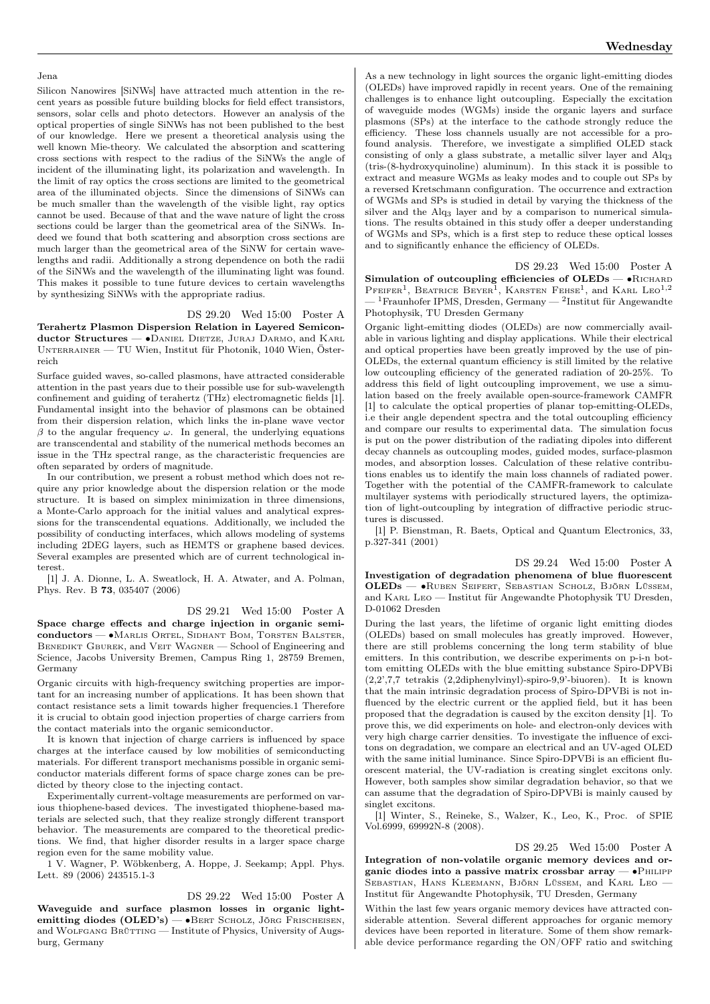#### Jena

Silicon Nanowires [SiNWs] have attracted much attention in the recent years as possible future building blocks for field effect transistors, sensors, solar cells and photo detectors. However an analysis of the optical properties of single SiNWs has not been published to the best of our knowledge. Here we present a theoretical analysis using the well known Mie-theory. We calculated the absorption and scattering cross sections with respect to the radius of the SiNWs the angle of incident of the illuminating light, its polarization and wavelength. In the limit of ray optics the cross sections are limited to the geometrical area of the illuminated objects. Since the dimensions of SiNWs can be much smaller than the wavelength of the visible light, ray optics cannot be used. Because of that and the wave nature of light the cross sections could be larger than the geometrical area of the SiNWs. Indeed we found that both scattering and absorption cross sections are much larger than the geometrical area of the SiNW for certain wavelengths and radii. Additionally a strong dependence on both the radii of the SiNWs and the wavelength of the illuminating light was found. This makes it possible to tune future devices to certain wavelengths by synthesizing SiNWs with the appropriate radius.

## DS 29.20 Wed 15:00 Poster A

Terahertz Plasmon Dispersion Relation in Layered Semiconductor Structures — ∙Daniel Dietze, Juraj Darmo, and Karl Unterrainer — TU Wien, Institut für Photonik, 1040 Wien, Österreich

Surface guided waves, so-called plasmons, have attracted considerable attention in the past years due to their possible use for sub-wavelength confinement and guiding of terahertz (THz) electromagnetic fields [1]. Fundamental insight into the behavior of plasmons can be obtained from their dispersion relation, which links the in-plane wave vector  $\beta$  to the angular frequency  $\omega$ . In general, the underlying equations are transcendental and stability of the numerical methods becomes an issue in the THz spectral range, as the characteristic frequencies are often separated by orders of magnitude.

In our contribution, we present a robust method which does not require any prior knowledge about the dispersion relation or the mode structure. It is based on simplex minimization in three dimensions, a Monte-Carlo approach for the initial values and analytical expressions for the transcendental equations. Additionally, we included the possibility of conducting interfaces, which allows modeling of systems including 2DEG layers, such as HEMTS or graphene based devices. Several examples are presented which are of current technological interest.

[1] J. A. Dionne, L. A. Sweatlock, H. A. Atwater, and A. Polman, Phys. Rev. B 73, 035407 (2006)

## DS 29.21 Wed 15:00 Poster A

Space charge effects and charge injection in organic semiconductors — ∙Marlis Ortel, Sidhant Bom, Torsten Balster, BENEDIKT GBUREK, and VEIT WAGNER — School of Engineering and Science, Jacobs University Bremen, Campus Ring 1, 28759 Bremen, Germany

Organic circuits with high-frequency switching properties are important for an increasing number of applications. It has been shown that contact resistance sets a limit towards higher frequencies.1 Therefore it is crucial to obtain good injection properties of charge carriers from the contact materials into the organic semiconductor.

It is known that injection of charge carriers is influenced by space charges at the interface caused by low mobilities of semiconducting materials. For different transport mechanisms possible in organic semiconductor materials different forms of space charge zones can be predicted by theory close to the injecting contact.

Experimentally current-voltage measurements are performed on various thiophene-based devices. The investigated thiophene-based materials are selected such, that they realize strongly different transport behavior. The measurements are compared to the theoretical predictions. We find, that higher disorder results in a larger space charge region even for the same mobility value.

1 V. Wagner, P. Wöbkenberg, A. Hoppe, J. Seekamp; Appl. Phys. Lett. 89 (2006) 243515.1-3

## DS 29.22 Wed 15:00 Poster A

Waveguide and surface plasmon losses in organic lightemitting diodes (OLED's) — ∙Bert Scholz, Jörg Frischeisen, and WOLFGANG BRÜTTING — Institute of Physics, University of Augsburg, Germany

As a new technology in light sources the organic light-emitting diodes (OLEDs) have improved rapidly in recent years. One of the remaining challenges is to enhance light outcoupling. Especially the excitation of waveguide modes (WGMs) inside the organic layers and surface plasmons (SPs) at the interface to the cathode strongly reduce the efficiency. These loss channels usually are not accessible for a profound analysis. Therefore, we investigate a simplified OLED stack consisting of only a glass substrate, a metallic silver layer and Alq<sup>3</sup> (tris-(8-hydroxyquinoline) aluminum). In this stack it is possible to extract and measure WGMs as leaky modes and to couple out SPs by a reversed Kretschmann configuration. The occurrence and extraction of WGMs and SPs is studied in detail by varying the thickness of the silver and the Alq<sub>3</sub> layer and by a comparison to numerical simulations. The results obtained in this study offer a deeper understanding of WGMs and SPs, which is a first step to reduce these optical losses and to significantly enhance the efficiency of OLEDs.

DS 29.23 Wed 15:00 Poster A Simulation of outcoupling efficiencies of OLEDs — •RICHARD PFEIFER<sup>1</sup>, BEATRICE BEYER<sup>1</sup>, KARSTEN FEHSE<sup>1</sup>, and KARL LEO<sup>1,2</sup>  $-$ <sup>1</sup>Fraunhofer IPMS, Dresden, Germany  $-$ <sup>2</sup>Institut für Angewandte Photophysik, TU Dresden Germany

Organic light-emitting diodes (OLEDs) are now commercially available in various lighting and display applications. While their electrical and optical properties have been greatly improved by the use of pin-OLEDs, the external quantum efficiency is still limited by the relative low outcoupling efficiency of the generated radiation of 20-25%. To address this field of light outcoupling improvement, we use a simulation based on the freely available open-source-framework CAMFR [1] to calculate the optical properties of planar top-emitting-OLEDs, i.e their angle dependent spectra and the total outcoupling efficiency and compare our results to experimental data. The simulation focus is put on the power distribution of the radiating dipoles into different decay channels as outcoupling modes, guided modes, surface-plasmon modes, and absorption losses. Calculation of these relative contributions enables us to identify the main loss channels of radiated power. Together with the potential of the CAMFR-framework to calculate multilayer systems with periodically structured layers, the optimization of light-outcoupling by integration of diffractive periodic structures is discussed.

[1] P. Bienstman, R. Baets, Optical and Quantum Electronics, 33, p.327-341 (2001)

## DS 29.24 Wed 15:00 Poster A

Investigation of degradation phenomena of blue fluorescent OLEDs — ∙Ruben Seifert, Sebastian Scholz, Björn Lüssem, and Karl Leo — Institut für Angewandte Photophysik TU Dresden, D-01062 Dresden

During the last years, the lifetime of organic light emitting diodes (OLEDs) based on small molecules has greatly improved. However, there are still problems concerning the long term stability of blue emitters. In this contribution, we describe experiments on p-i-n bottom emitting OLEDs with the blue emitting substance Spiro-DPVBi (2,2',7,7 tetrakis (2,2diphenylvinyl)-spiro-9,9'-biuoren). It is known that the main intrinsic degradation process of Spiro-DPVBi is not influenced by the electric current or the applied field, but it has been proposed that the degradation is caused by the exciton density [1]. To prove this, we did experiments on hole- and electron-only devices with very high charge carrier densities. To investigate the influence of excitons on degradation, we compare an electrical and an UV-aged OLED with the same initial luminance. Since Spiro-DPVBi is an efficient fluorescent material, the UV-radiation is creating singlet excitons only. However, both samples show similar degradation behavior, so that we can assume that the degradation of Spiro-DPVBi is mainly caused by singlet excitons.

[1] Winter, S., Reineke, S., Walzer, K., Leo, K., Proc. of SPIE Vol.6999, 69992N-8 (2008).

DS 29.25 Wed 15:00 Poster A Integration of non-volatile organic memory devices and organic diodes into a passive matrix crossbar array  $- \bullet$ P $\text{HILIPP}$ Sebastian, Hans Kleemann, Björn Lüssem, and Karl Leo — Institut für Angewandte Photophysik, TU Dresden, Germany

Within the last few years organic memory devices have attracted considerable attention. Several different approaches for organic memory devices have been reported in literature. Some of them show remarkable device performance regarding the ON/OFF ratio and switching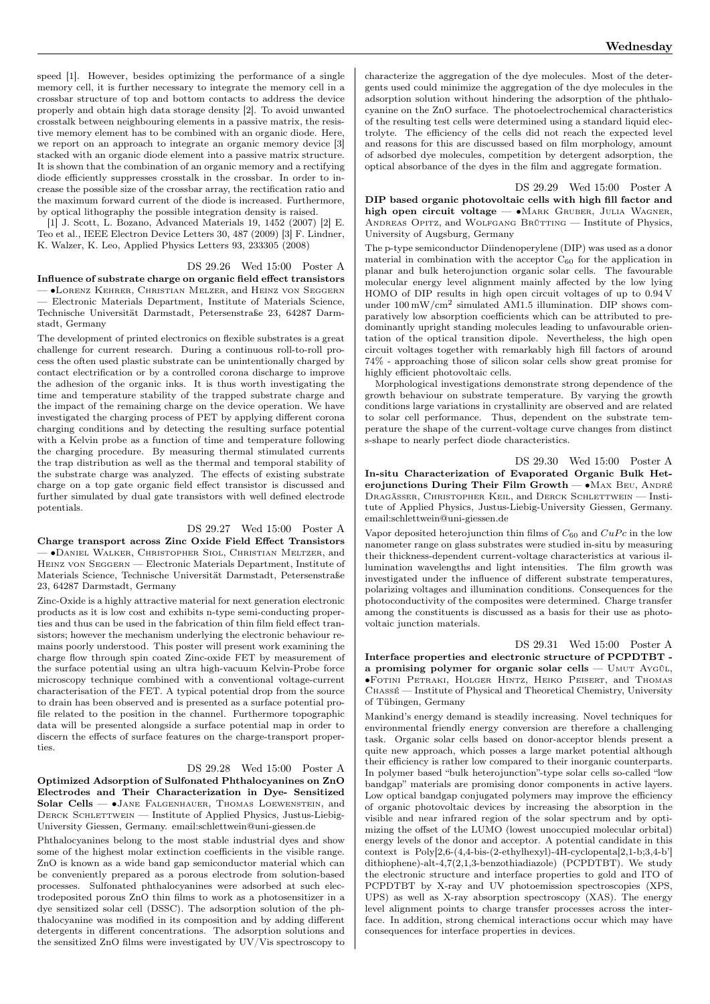speed [1]. However, besides optimizing the performance of a single memory cell, it is further necessary to integrate the memory cell in a crossbar structure of top and bottom contacts to address the device properly and obtain high data storage density [2]. To avoid unwanted crosstalk between neighbouring elements in a passive matrix, the resistive memory element has to be combined with an organic diode. Here, we report on an approach to integrate an organic memory device [3] stacked with an organic diode element into a passive matrix structure. It is shown that the combination of an organic memory and a rectifying diode efficiently suppresses crosstalk in the crossbar. In order to increase the possible size of the crossbar array, the rectification ratio and the maximum forward current of the diode is increased. Furthermore, by optical lithography the possible integration density is raised.

[1] J. Scott, L. Bozano, Advanced Materials 19, 1452 (2007) [2] E. Teo et al., IEEE Electron Device Letters 30, 487 (2009) [3] F. Lindner, K. Walzer, K. Leo, Applied Physics Letters 93, 233305 (2008)

### DS 29.26 Wed 15:00 Poster A

Influence of substrate charge on organic field effect transistors — ∙Lorenz Kehrer, Christian Melzer, and Heinz von Seggern

— Electronic Materials Department, Institute of Materials Science, Technische Universität Darmstadt, Petersenstraße 23, 64287 Darmstadt, Germany

The development of printed electronics on flexible substrates is a great challenge for current research. During a continuous roll-to-roll process the often used plastic substrate can be unintentionally charged by contact electrification or by a controlled corona discharge to improve the adhesion of the organic inks. It is thus worth investigating the time and temperature stability of the trapped substrate charge and the impact of the remaining charge on the device operation. We have investigated the charging process of PET by applying different corona charging conditions and by detecting the resulting surface potential with a Kelvin probe as a function of time and temperature following the charging procedure. By measuring thermal stimulated currents the trap distribution as well as the thermal and temporal stability of the substrate charge was analyzed. The effects of existing substrate charge on a top gate organic field effect transistor is discussed and further simulated by dual gate transistors with well defined electrode potentials.

## DS 29.27 Wed 15:00 Poster A

Charge transport across Zinc Oxide Field Effect Transistors — ∙Daniel Walker, Christopher Siol, Christian Meltzer, and Heinz von Seggern — Electronic Materials Department, Institute of Materials Science, Technische Universität Darmstadt, Petersenstraße 23, 64287 Darmstadt, Germany

Zinc-Oxide is a highly attractive material for next generation electronic products as it is low cost and exhibits n-type semi-conducting properties and thus can be used in the fabrication of thin film field effect transistors; however the mechanism underlying the electronic behaviour remains poorly understood. This poster will present work examining the charge flow through spin coated Zinc-oxide FET by measurement of the surface potential using an ultra high-vacuum Kelvin-Probe force microscopy technique combined with a conventional voltage-current characterisation of the FET. A typical potential drop from the source to drain has been observed and is presented as a surface potential profile related to the position in the channel. Furthermore topographic data will be presented alongside a surface potential map in order to discern the effects of surface features on the charge-transport properties.

#### DS 29.28 Wed 15:00 Poster A

Optimized Adsorption of Sulfonated Phthalocyanines on ZnO Electrodes and Their Characterization in Dye- Sensitized Solar Cells — ∙Jane Falgenhauer, Thomas Loewenstein, and DERCK SCHLETTWEIN — Institute of Applied Physics, Justus-Liebig-University Giessen, Germany. email:schlettwein@uni-giessen.de

Phthalocyanines belong to the most stable industrial dyes and show some of the highest molar extinction coefficients in the visible range. ZnO is known as a wide band gap semiconductor material which can be conveniently prepared as a porous electrode from solution-based processes. Sulfonated phthalocyanines were adsorbed at such electrodeposited porous ZnO thin films to work as a photosensitizer in a dye sensitized solar cell (DSSC). The adsorption solution of the phthalocyanine was modified in its composition and by adding different detergents in different concentrations. The adsorption solutions and the sensitized ZnO films were investigated by UV/Vis spectroscopy to characterize the aggregation of the dye molecules. Most of the detergents used could minimize the aggregation of the dye molecules in the adsorption solution without hindering the adsorption of the phthalocyanine on the ZnO surface. The photoelectrochemical characteristics of the resulting test cells were determined using a standard liquid electrolyte. The efficiency of the cells did not reach the expected level and reasons for this are discussed based on film morphology, amount of adsorbed dye molecules, competition by detergent adsorption, the optical absorbance of the dyes in the film and aggregate formation.

DS 29.29 Wed 15:00 Poster A DIP based organic photovoltaic cells with high fill factor and high open circuit voltage — ∙Mark Gruber, Julia Wagner, ANDREAS OPITZ, and WOLFGANG BRÜTTING — Institute of Physics, University of Augsburg, Germany

The p-type semiconductor Diindenoperylene (DIP) was used as a donor material in combination with the acceptor  $C_{60}$  for the application in planar and bulk heterojunction organic solar cells. The favourable molecular energy level alignment mainly affected by the low lying HOMO of DIP results in high open circuit voltages of up to 0.94 V under  $100 \text{ mW/cm}^2$  simulated AM1.5 illumination. DIP shows comparatively low absorption coefficients which can be attributed to predominantly upright standing molecules leading to unfavourable orientation of the optical transition dipole. Nevertheless, the high open circuit voltages together with remarkably high fill factors of around 74% - approaching those of silicon solar cells show great promise for highly efficient photovoltaic cells.

Morphological investigations demonstrate strong dependence of the growth behaviour on substrate temperature. By varying the growth conditions large variations in crystallinity are observed and are related to solar cell performance. Thus, dependent on the substrate temperature the shape of the current-voltage curve changes from distinct s-shape to nearly perfect diode characteristics.

DS 29.30 Wed 15:00 Poster A In-situ Characterization of Evaporated Organic Bulk Heterojunctions During Their Film Growth — • MAX BEU, ANDRÉ DRAGÄSSER, CHRISTOPHER KEIL, and DERCK SCHLETTWEIN - Institute of Applied Physics, Justus-Liebig-University Giessen, Germany. email:schlettwein@uni-giessen.de

Vapor deposited heterojunction thin films of  $C_{60}$  and  $CuPc$  in the low nanometer range on glass substrates were studied in-situ by measuring their thickness-dependent current-voltage characteristics at various illumination wavelengths and light intensities. The film growth was investigated under the influence of different substrate temperatures, polarizing voltages and illumination conditions. Consequences for the photoconductivity of the composites were determined. Charge transfer among the constituents is discussed as a basis for their use as photovoltaic junction materials.

DS 29.31 Wed 15:00 Poster A Interface properties and electronic structure of PCPDTBT a promising polymer for organic solar cells  $-$  UMUT AYGÜL, ∙Fotini Petraki, Holger Hintz, Heiko Peisert, and Thomas Chassé — Institute of Physical and Theoretical Chemistry, University of Tübingen, Germany

Mankind's energy demand is steadily increasing. Novel techniques for environmental friendly energy conversion are therefore a challenging task. Organic solar cells based on donor-acceptor blends present a quite new approach, which posses a large market potential although their efficiency is rather low compared to their inorganic counterparts. In polymer based "bulk heterojunction"-type solar cells so-called "low bandgap" materials are promising donor components in active layers. Low optical bandgap conjugated polymers may improve the efficiency of organic photovoltaic devices by increasing the absorption in the visible and near infrared region of the solar spectrum and by optimizing the offset of the LUMO (lowest unoccupied molecular orbital) energy levels of the donor and acceptor. A potential candidate in this context is Poly[2,6-(4,4-bis-(2-ethylhexyl)-4H-cyclopenta[2,1-b;3,4-b'] dithiophene)-alt-4,7(2,1,3-benzothiadiazole) (PCPDTBT). We study the electronic structure and interface properties to gold and ITO of PCPDTBT by X-ray and UV photoemission spectroscopies (XPS, UPS) as well as X-ray absorption spectroscopy (XAS). The energy level alignment points to charge transfer processes across the interface. In addition, strong chemical interactions occur which may have consequences for interface properties in devices.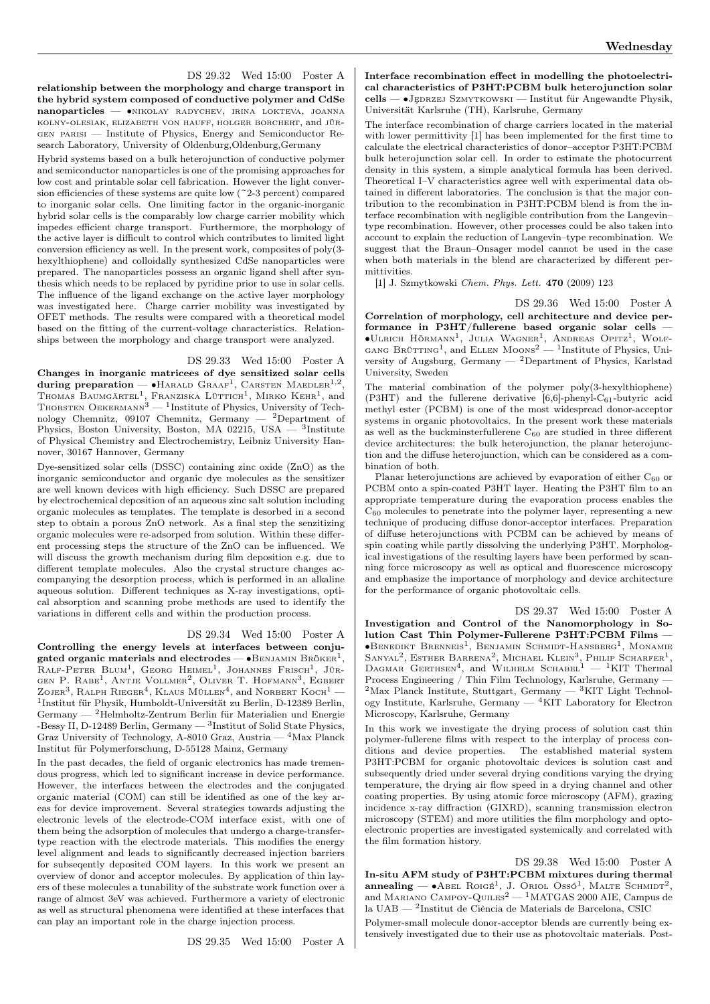DS 29.32 Wed 15:00 Poster A relationship between the morphology and charge transport in the hybrid system composed of conductive polymer and CdSe nanoparticles — ∙nikolay radychev, irina lokteva, joanna kolny-olesiak, elizabeth von hauff, holger borchert, and jürgen parisi — Institute of Physics, Energy and Semiconductor Research Laboratory, University of Oldenburg,Oldenburg,Germany

Hybrid systems based on a bulk heterojunction of conductive polymer and semiconductor nanoparticles is one of the promising approaches for low cost and printable solar cell fabrication. However the light conversion efficiencies of these systems are quite low  $(^{2}-3)$  percent) compared to inorganic solar cells. One limiting factor in the organic-inorganic hybrid solar cells is the comparably low charge carrier mobility which impedes efficient charge transport. Furthermore, the morphology of the active layer is difficult to control which contributes to limited light conversion efficiency as well. In the present work, composites of poly(3 hexylthiophene) and colloidally synthesized CdSe nanoparticles were prepared. The nanoparticles possess an organic ligand shell after synthesis which needs to be replaced by pyridine prior to use in solar cells. The influence of the ligand exchange on the active layer morphology was investigated here. Charge carrier mobility was investigated by OFET methods. The results were compared with a theoretical model based on the fitting of the current-voltage characteristics. Relationships between the morphology and charge transport were analyzed.

DS 29.33 Wed 15:00 Poster A Changes in inorganic matricees of dye sensitized solar cells during preparation —  $\bullet$  HARALD GRAAF<sup>1</sup>, CARSTEN MAEDLER<sup>1,2</sup>, Thomas Baumgärtel<sup>1</sup>, Franziska Lüttich<sup>1</sup>, Mirko Kehr<sup>1</sup>, and THORSTEN OEKERMANN<sup>3</sup> — <sup>1</sup>Institute of Physics, University of Technology Chemnitz, 09107 Chemnitz, Germany — <sup>2</sup>Department of Physics, Boston University, Boston, MA 02215, USA — <sup>3</sup>Institute of Physical Chemistry and Electrochemistry, Leibniz University Hannover, 30167 Hannover, Germany

Dye-sensitized solar cells (DSSC) containing zinc oxide (ZnO) as the inorganic semiconductor and organic dye molecules as the sensitizer are well known devices with high efficiency. Such DSSC are prepared by electrochemical deposition of an aqueous zinc salt solution including organic molecules as templates. The template is desorbed in a second step to obtain a porous ZnO network. As a final step the senzitizing organic molecules were re-adsorped from solution. Within these different processing steps the structure of the ZnO can be influenced. We will discuss the growth mechanism during film deposition e.g. due to different template molecules. Also the crystal structure changes accompanying the desorption process, which is performed in an alkaline aqueous solution. Different techniques as X-ray investigations, optical absorption and scanning probe methods are used to identify the variations in different cells and within the production process.

## DS 29.34 Wed 15:00 Poster A

Controlling the energy levels at interfaces between conjugated organic materials and electrodes —  $\bullet$ BENJAMIN BRÖKER<sup>1</sup>,  $R$ ALF-PETER BLUM<sup>1</sup>, GEORG HEIMEL<sup>1</sup>, JOHANNES FRISCH<sup>1</sup>, JÜRgen P. Rabe<sup>1</sup>, Antje Vollmer<sup>2</sup>, Oliver T. Hofmann<sup>3</sup>, Egbert  $\mathrm{Zo}$ jer<sup>3</sup>, Ralph Rieger<sup>4</sup>, Klaus Müllen<sup>4</sup>, and Norbert Koch<sup>1</sup> — 1 Institut für Physik, Humboldt-Universität zu Berlin, D-12389 Berlin, Germany — <sup>2</sup>Helmholtz-Zentrum Berlin für Materialien und Energie -Bessy II, D-12489 Berlin, Germany — <sup>3</sup>Institut of Solid State Physics, Graz University of Technology, A-8010 Graz, Austria — <sup>4</sup>Max Planck Institut für Polymerforschung, D-55128 Mainz, Germany

In the past decades, the field of organic electronics has made tremendous progress, which led to significant increase in device performance. However, the interfaces between the electrodes and the conjugated organic material (COM) can still be identified as one of the key areas for device improvement. Several strategies towards adjusting the electronic levels of the electrode-COM interface exist, with one of them being the adsorption of molecules that undergo a charge-transfertype reaction with the electrode materials. This modifies the energy level alignment and leads to significantly decreased injection barriers for subseqently deposited COM layers. In this work we present an overview of donor and acceptor molecules. By application of thin layers of these molecules a tunability of the substrate work function over a range of almost 3eV was achieved. Furthermore a variety of electronic as well as structural phenomena were identified at these interfaces that can play an important role in the charge injection process.

DS 29.35 Wed 15:00 Poster A

Interface recombination effect in modelling the photoelectrical characteristics of P3HT:PCBM bulk heterojunction solar  $cells \rightarrow$ •Je $DRZE$ J $Sz$ MYTKOWSKI — Institut für Angewandte Physik, Universität Karlsruhe (TH), Karlsruhe, Germany

The interface recombination of charge carriers located in the material with lower permittivity [1] has been implemented for the first time to calculate the electrical characteristics of donor–acceptor P3HT:PCBM bulk heterojunction solar cell. In order to estimate the photocurrent density in this system, a simple analytical formula has been derived. Theoretical I–V characteristics agree well with experimental data obtained in different laboratories. The conclusion is that the major contribution to the recombination in P3HT:PCBM blend is from the interface recombination with negligible contribution from the Langevin– type recombination. However, other processes could be also taken into account to explain the reduction of Langevin–type recombination. We suggest that the Braun–Onsager model cannot be used in the case when both materials in the blend are characterized by different permittivities.

[1] J. Szmytkowski Chem. Phys. Lett. 470 (2009) 123

DS 29.36 Wed 15:00 Poster A Correlation of morphology, cell architecture and device performance in P3HT/fullerene based organic solar cells — ∙Ulrich Hörmann<sup>1</sup> , Julia Wagner<sup>1</sup> , Andreas Opitz<sup>1</sup> , Wolf-gang Brütting1 , and Ellen Moons<sup>2</sup> — <sup>1</sup> Institute of Physics, University of Augsburg, Germany  $-$  2Department of Physics, Karlstad University, Sweden

The material combination of the polymer poly(3-hexylthiophene) (P3HT) and the fullerene derivative  $[6,6]$ -phenyl-C<sub>61</sub>-butyric acid methyl ester (PCBM) is one of the most widespread donor-acceptor systems in organic photovoltaics. In the present work these materials as well as the buckminsterfullerene  $C_{60}$  are studied in three different device architectures: the bulk heterojunction, the planar heterojunction and the diffuse heterojunction, which can be considered as a combination of both.

Planar heterojunctions are achieved by evaporation of either  $C_{60}$  or PCBM onto a spin-coated P3HT layer. Heating the P3HT film to an appropriate temperature during the evaporation process enables the  $C_{60}$  molecules to penetrate into the polymer layer, representing a new technique of producing diffuse donor-acceptor interfaces. Preparation of diffuse heterojunctions with PCBM can be achieved by means of spin coating while partly dissolving the underlying P3HT. Morphological investigations of the resulting layers have been performed by scanning force microscopy as well as optical and fluorescence microscopy and emphasize the importance of morphology and device architecture for the performance of organic photovoltaic cells.

DS 29.37 Wed 15:00 Poster A Investigation and Control of the Nanomorphology in Solution Cast Thin Polymer-Fullerene P3HT:PCBM Films — ∙Benedikt Brenneis<sup>1</sup> , Benjamin Schmidt-Hansberg<sup>1</sup> , Monamie SANYAL<sup>2</sup>, ESTHER BARRENA<sup>2</sup>, MICHAEL KLEIN<sup>3</sup>, PHILIP SCHARFER<sup>1</sup>, DAGMAR GERTHSEN<sup>4</sup>, and WILHELM SCHABEL<sup>1</sup> - <sup>1</sup>KIT Thermal Process Engineering / Thin Film Technology, Karlsruhe, Germany —  ${}^{2}$ Max Planck Institute, Stuttgart, Germany —  ${}^{3}$ KIT Light Technology Institute, Karlsruhe, Germany — <sup>4</sup>KIT Laboratory for Electron Microscopy, Karlsruhe, Germany

In this work we investigate the drying process of solution cast thin polymer-fullerene films with respect to the interplay of process conditions and device properties. The established material system P3HT:PCBM for organic photovoltaic devices is solution cast and subsequently dried under several drying conditions varying the drying temperature, the drying air flow speed in a drying channel and other coating properties. By using atomic force microscopy (AFM), grazing incidence x-ray diffraction (GIXRD), scanning transmission electron microscopy (STEM) and more utilities the film morphology and optoelectronic properties are investigated systemically and correlated with the film formation history.

DS 29.38 Wed 15:00 Poster A In-situ AFM study of P3HT:PCBM mixtures during thermal **annealing** — •Abel Roigé<sup>1</sup>, J. Oriol Ossó<sup>1</sup>, Malte Schmidt<sup>2</sup>, and Mariano Campoy-Quiles<sup>2</sup> — <sup>1</sup>MATGAS 2000 AIE, Campus de la UAB — <sup>2</sup> Institut de Ciència de Materials de Barcelona, CSIC Polymer-small molecule donor-acceptor blends are currently being extensively investigated due to their use as photovoltaic materials. Post-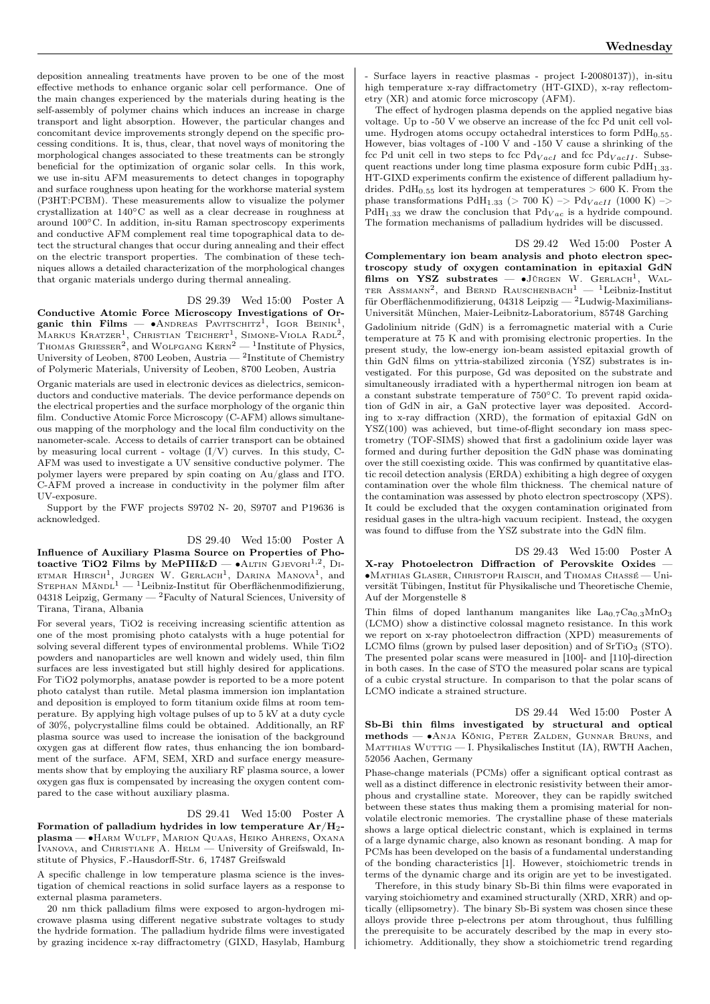deposition annealing treatments have proven to be one of the most effective methods to enhance organic solar cell performance. One of the main changes experienced by the materials during heating is the self-assembly of polymer chains which induces an increase in charge transport and light absorption. However, the particular changes and concomitant device improvements strongly depend on the specific processing conditions. It is, thus, clear, that novel ways of monitoring the morphological changes associated to these treatments can be strongly beneficial for the optimization of organic solar cells. In this work, we use in-situ AFM measurements to detect changes in topography and surface roughness upon heating for the workhorse material system (P3HT:PCBM). These measurements allow to visualize the polymer crystallization at 140∘C as well as a clear decrease in roughness at around 100∘C. In addition, in-situ Raman spectroscopy experiments and conductive AFM complement real time topographical data to detect the structural changes that occur during annealing and their effect on the electric transport properties. The combination of these techniques allows a detailed characterization of the morphological changes that organic materials undergo during thermal annealing.

## DS 29.39 Wed 15:00 Poster A

Conductive Atomic Force Microscopy Investigations of Organic thin Films — • ANDREAS PAVITSCHITZ<sup>1</sup>, IGOR BEINIK<sup>1</sup>, Markus Kratzer<sup>1</sup>, Christian Teichert<sup>1</sup>, Simone-Viola Radl<sup>2</sup>, THOMAS GRIESSER<sup>2</sup>, and WOLFGANG  $\text{KERN}^2 - 1$ Institute of Physics, University of Leoben, 8700 Leoben, Austria — <sup>2</sup>Institute of Chemistry of Polymeric Materials, University of Leoben, 8700 Leoben, Austria

Organic materials are used in electronic devices as dielectrics, semiconductors and conductive materials. The device performance depends on the electrical properties and the surface morphology of the organic thin film. Conductive Atomic Force Microscopy (C-AFM) allows simultaneous mapping of the morphology and the local film conductivity on the nanometer-scale. Access to details of carrier transport can be obtained by measuring local current - voltage  $(I/V)$  curves. In this study, C-AFM was used to investigate a UV sensitive conductive polymer. The polymer layers were prepared by spin coating on Au/glass and ITO. C-AFM proved a increase in conductivity in the polymer film after UV-exposure.

Support by the FWF projects S9702 N- 20, S9707 and P19636 is acknowledged.

### DS 29.40 Wed 15:00 Poster A

Influence of Auxiliary Plasma Source on Properties of Photoactive TiO2 Films by MePIII&D —  $\bullet$ Altin Gjevori<sup>1,2</sup>, Di- $E$ TMAR HIRSCH<sup>1</sup>, JURGEN W. GERLACH<sup>1</sup>, DARINA MANOVA<sup>1</sup>, and <code>STEPHAN</code> <code>Mänd</code>ı<code> $^{-1}$ — $^{1}$ Leibniz-Institut für Oberflächenmodifizierung,</code> 04318 Leipzig, Germany — <sup>2</sup>Faculty of Natural Sciences, University of Tirana, Tirana, Albania

For several years, TiO2 is receiving increasing scientific attention as one of the most promising photo catalysts with a huge potential for solving several different types of environmental problems. While TiO2 powders and nanoparticles are well known and widely used, thin film surfaces are less investigated but still highly desired for applications. For TiO2 polymorphs, anatase powder is reported to be a more potent photo catalyst than rutile. Metal plasma immersion ion implantation and deposition is employed to form titanium oxide films at room temperature. By applying high voltage pulses of up to 5 kV at a duty cycle of 30%, polycrystalline films could be obtained. Additionally, an RF plasma source was used to increase the ionisation of the background oxygen gas at different flow rates, thus enhancing the ion bombardment of the surface. AFM, SEM, XRD and surface energy measurements show that by employing the auxiliary RF plasma source, a lower oxygen gas flux is compensated by increasing the oxygen content compared to the case without auxiliary plasma.

## DS 29.41 Wed 15:00 Poster A

Formation of palladium hydrides in low temperature  $Ar/H_2$ plasma — ∙Harm Wulff, Marion Quaas, Heiko Ahrens, Oxana Ivanova, and Christiane A. Helm — University of Greifswald, Institute of Physics, F.-Hausdorff-Str. 6, 17487 Greifswald

A specific challenge in low temperature plasma science is the investigation of chemical reactions in solid surface layers as a response to external plasma parameters.

20 nm thick palladium films were exposed to argon-hydrogen microwave plasma using different negative substrate voltages to study the hydride formation. The palladium hydride films were investigated by grazing incidence x-ray diffractometry (GIXD, Hasylab, Hamburg

- Surface layers in reactive plasmas - project I-20080137)), in-situ high temperature x-ray diffractometry (HT-GIXD), x-ray reflectometry (XR) and atomic force microscopy (AFM).

The effect of hydrogen plasma depends on the applied negative bias voltage. Up to -50 V we observe an increase of the fcc Pd unit cell volume. Hydrogen atoms occupy octahedral interstices to form  $PdH<sub>0.55</sub>$ . However, bias voltages of -100 V and -150 V cause a shrinking of the fcc Pd unit cell in two steps to fcc  $Pd_{VacI}$  and fcc  $Pd_{VacII}$ . Subsequent reactions under long time plasma exposure form cubic  $PdH<sub>1,33</sub>$ . HT-GIXD experiments confirm the existence of different palladium hydrides. PdH $_{0.55}$  lost its hydrogen at temperatures  $> 600$  K. From the phase transformations  $PdH_{1,33}$  (> 700 K) –>  $Pd_{VacII}$  (1000 K) –>  $PdH_{1,33}$  we draw the conclusion that  $Pd_{Vac}$  is a hydride compound. The formation mechanisms of palladium hydrides will be discussed.

DS 29.42 Wed 15:00 Poster A Complementary ion beam analysis and photo electron spectroscopy study of oxygen contamination in epitaxial GdN films on YSZ substrates  $-$  •Jürgen W. Gerlach<sup>1</sup>, Wal-TER ASSMANN<sup>2</sup>, and BERND RAUSCHENBACH<sup>1</sup> - <sup>1</sup>Leibniz-Institut für Oberflächenmodifizierung, 04318 Leipzig —  $2$ Ludwig-Maximilians-Universität München, Maier-Leibnitz-Laboratorium, 85748 Garching Gadolinium nitride (GdN) is a ferromagnetic material with a Curie

temperature at 75 K and with promising electronic properties. In the present study, the low-energy ion-beam assisted epitaxial growth of thin GdN films on yttria-stabilized zirconia (YSZ) substrates is investigated. For this purpose, Gd was deposited on the substrate and simultaneously irradiated with a hyperthermal nitrogen ion beam at a constant substrate temperature of 750∘C. To prevent rapid oxidation of GdN in air, a GaN protective layer was deposited. According to x-ray diffraction (XRD), the formation of epitaxial GdN on YSZ(100) was achieved, but time-of-flight secondary ion mass spectrometry (TOF-SIMS) showed that first a gadolinium oxide layer was formed and during further deposition the GdN phase was dominating over the still coexisting oxide. This was confirmed by quantitative elastic recoil detection analysis (ERDA) exhibiting a high degree of oxygen contamination over the whole film thickness. The chemical nature of the contamination was assessed by photo electron spectroscopy (XPS). It could be excluded that the oxygen contamination originated from residual gases in the ultra-high vacuum recipient. Instead, the oxygen was found to diffuse from the YSZ substrate into the GdN film.

DS 29.43 Wed 15:00 Poster A X-ray Photoelectron Diffraction of Perovskite Oxides — ∙Mathias Glaser, Christoph Raisch, and Thomas Chassé — Universität Tübingen, Institut für Physikalische und Theoretische Chemie, Auf der Morgenstelle 8

Thin films of doped lanthanum manganites like  $La_{0.7}Ca_{0.3}MnO_3$ (LCMO) show a distinctive colossal magneto resistance. In this work we report on x-ray photoelectron diffraction (XPD) measurements of LCMO films (grown by pulsed laser deposition) and of  $SrTiO<sub>3</sub>$  (STO). The presented polar scans were measured in [100]- and [110]-direction in both cases. In the case of STO the measured polar scans are typical of a cubic crystal structure. In comparison to that the polar scans of LCMO indicate a strained structure.

DS 29.44 Wed 15:00 Poster A Sb-Bi thin films investigated by structural and optical methods — ∙Anja König, Peter Zalden, Gunnar Bruns, and MATTHIAS WUTTIG — I. Physikalisches Institut (IA), RWTH Aachen, 52056 Aachen, Germany

Phase-change materials (PCMs) offer a significant optical contrast as well as a distinct difference in electronic resistivity between their amorphous and crystalline state. Moreover, they can be rapidly switched between these states thus making them a promising material for nonvolatile electronic memories. The crystalline phase of these materials shows a large optical dielectric constant, which is explained in terms of a large dynamic charge, also known as resonant bonding. A map for PCMs has been developed on the basis of a fundamental understanding of the bonding characteristics [1]. However, stoichiometric trends in terms of the dynamic charge and its origin are yet to be investigated.

Therefore, in this study binary Sb-Bi thin films were evaporated in varying stoichiometry and examined structurally (XRD, XRR) and optically (ellipsometry). The binary Sb-Bi system was chosen since these alloys provide three p-electrons per atom throughout, thus fulfilling the prerequisite to be accurately described by the map in every stoichiometry. Additionally, they show a stoichiometric trend regarding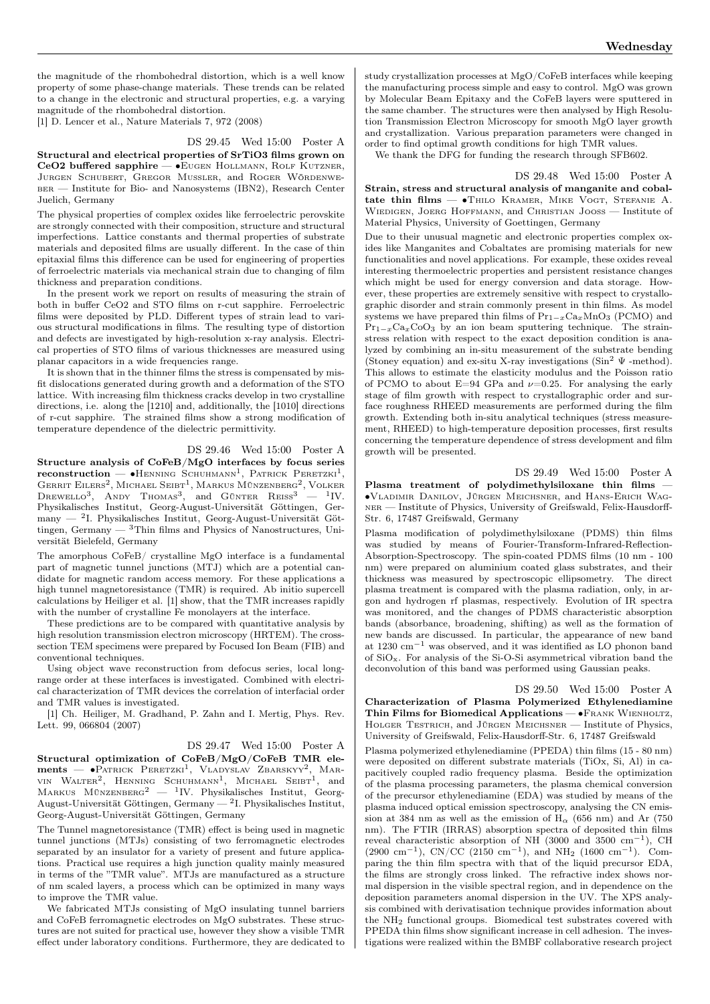the magnitude of the rhombohedral distortion, which is a well know property of some phase-change materials. These trends can be related to a change in the electronic and structural properties, e.g. a varying magnitude of the rhombohedral distortion. [1] D. Lencer et al., Nature Materials 7, 972 (2008)

DS 29.45 Wed 15:00 Poster A Structural and electrical properties of SrTiO3 films grown on CeO2 buffered sapphire — •EUGEN HOLLMANN, ROLF KUTZNER, Jurgen Schubert, Gregor Mussler, and Roger Wördenweber — Institute for Bio- and Nanosystems (IBN2), Research Center Juelich, Germany

The physical properties of complex oxides like ferroelectric perovskite are strongly connected with their composition, structure and structural imperfections. Lattice constants and thermal properties of substrate materials and deposited films are usually different. In the case of thin epitaxial films this difference can be used for engineering of properties of ferroelectric materials via mechanical strain due to changing of film thickness and preparation conditions.

In the present work we report on results of measuring the strain of both in buffer CeO2 and STO films on r-cut sapphire. Ferroelectric films were deposited by PLD. Different types of strain lead to various structural modifications in films. The resulting type of distortion and defects are investigated by high-resolution x-ray analysis. Electrical properties of STO films of various thicknesses are measured using planar capacitors in a wide frequencies range.

It is shown that in the thinner films the stress is compensated by misfit dislocations generated during growth and a deformation of the STO lattice. With increasing film thickness cracks develop in two crystalline directions, i.e. along the [1210] and, additionally, the [1010] directions of r-cut sapphire. The strained films show a strong modification of temperature dependence of the dielectric permittivity.

#### DS 29.46 Wed 15:00 Poster A

Structure analysis of CoFeB/MgO interfaces by focus series  $reconstruction - \bullet$ Henning Schuhmann<sup>1</sup>, Patrick Peretzki<sup>1</sup>, GERRIT EILERS<sup>2</sup>, MICHAEL SEIBT<sup>1</sup>, MARKUS MÜNZENBERG<sup>2</sup>, VOLKER<br>DREWELLO<sup>3</sup>, ANDY THOMAS<sup>3</sup>, and Günter Reiss<sup>3</sup> — <sup>1</sup>IV. Physikalisches Institut, Georg-August-Universität Göttingen, Germany — <sup>2</sup> I. Physikalisches Institut, Georg-August-Universität Göt- $\overline{\text{tingen}}$ , Germany  $-$ <sup>3</sup>Thin films and Physics of Nanostructures, Universität Bielefeld, Germany

The amorphous CoFeB/ crystalline MgO interface is a fundamental part of magnetic tunnel junctions (MTJ) which are a potential candidate for magnetic random access memory. For these applications a high tunnel magnetoresistance (TMR) is required. Ab initio supercell calculations by Heiliger et al. [1] show, that the TMR increases rapidly with the number of crystalline Fe monolayers at the interface.

These predictions are to be compared with quantitative analysis by high resolution transmission electron microscopy (HRTEM). The crosssection TEM specimens were prepared by Focused Ion Beam (FIB) and conventional techniques.

Using object wave reconstruction from defocus series, local longrange order at these interfaces is investigated. Combined with electrical characterization of TMR devices the correlation of interfacial order and TMR values is investigated.

[1] Ch. Heiliger, M. Gradhand, P. Zahn and I. Mertig, Phys. Rev. Lett. 99, 066804 (2007)

## DS 29.47 Wed 15:00 Poster A

Structural optimization of CoFeB/MgO/CoFeB TMR ele $ments$  —  $\bullet$ Patrick Peretzki<sup>1</sup>, Vladyslav Zbarskyy<sup>2</sup>, Mar-VIN WALTER<sup>2</sup>, HENNING SCHUHMANN<sup>1</sup>, MICHAEL SEIBT<sup>1</sup>, and MARKUS MÜNZENBERG<sup>2</sup> — <sup>1</sup>IV. Physikalisches Institut, Georg-August-Universität Göttingen, Germany  $-2$ I. Physikalisches Institut, Georg-August-Universität Göttingen, Germany

The Tunnel magnetoresistance (TMR) effect is being used in magnetic tunnel junctions (MTJs) consisting of two ferromagnetic electrodes separated by an insulator for a variety of present and future applications. Practical use requires a high junction quality mainly measured in terms of the "TMR value". MTJs are manufactured as a structure of nm scaled layers, a process which can be optimized in many ways to improve the TMR value.

We fabricated MTJs consisting of MgO insulating tunnel barriers and CoFeB ferromagnetic electrodes on MgO substrates. These structures are not suited for practical use, however they show a visible TMR effect under laboratory conditions. Furthermore, they are dedicated to study crystallization processes at MgO/CoFeB interfaces while keeping the manufacturing process simple and easy to control. MgO was grown by Molecular Beam Epitaxy and the CoFeB layers were sputtered in the same chamber. The structures were then analysed by High Resolution Transmission Electron Microscopy for smooth MgO layer growth and crystallization. Various preparation parameters were changed in order to find optimal growth conditions for high TMR values.

We thank the DFG for funding the research through SFB602.

## DS 29.48 Wed 15:00 Poster A

Strain, stress and structural analysis of manganite and cobaltate thin films — • Thilo Kramer, Mike Vogt, Stefanie A. Wiedigen, Joerg Hoffmann, and Christian Jooss — Institute of Material Physics, University of Goettingen, Germany

Due to their unusual magnetic and electronic properties complex oxides like Manganites and Cobaltates are promising materials for new functionalities and novel applications. For example, these oxides reveal interesting thermoelectric properties and persistent resistance changes which might be used for energy conversion and data storage. However, these properties are extremely sensitive with respect to crystallographic disorder and strain commonly present in thin films. As model systems we have prepared thin films of  $Pr_{1-x}Ca_xMnO_3$  (PCMO) and  $Pr_{1-x}Ca_xCoO_3$  by an ion beam sputtering technique. The strainstress relation with respect to the exact deposition condition is analyzed by combining an in-situ measurement of the substrate bending (Stoney equation) and ex-situ X-ray investigations (Sin<sup>2</sup>  $\Psi$  -method). This allows to estimate the elasticity modulus and the Poisson ratio of PCMO to about E=94 GPa and  $\nu$ =0.25. For analysing the early stage of film growth with respect to crystallographic order and surface roughness RHEED measurements are performed during the film growth. Extending both in-situ analytical techniques (stress measurement, RHEED) to high-temperature deposition processes, first results concerning the temperature dependence of stress development and film growth will be presented.

DS 29.49 Wed 15:00 Poster A

Plasma treatment of polydimethylsiloxane thin films -∙Vladimir Danilov, Jürgen Meichsner, and Hans-Erich Wagner — Institute of Physics, University of Greifswald, Felix-Hausdorff-Str. 6, 17487 Greifswald, Germany

Plasma modification of polydimethylsiloxane (PDMS) thin films was studied by means of Fourier-Transform-Infrared-Reflection-Absorption-Spectroscopy. The spin-coated PDMS films (10 nm - 100 nm) were prepared on aluminium coated glass substrates, and their thickness was measured by spectroscopic ellipsometry. The direct plasma treatment is compared with the plasma radiation, only, in argon and hydrogen rf plasmas, respectively. Evolution of IR spectra was monitored, and the changes of PDMS characteristic absorption bands (absorbance, broadening, shifting) as well as the formation of new bands are discussed. In particular, the appearance of new band at 1230 cm−<sup>1</sup> was observed, and it was identified as LO phonon band of  $SiO_{x}$ . For analysis of the Si-O-Si asymmetrical vibration band the deconvolution of this band was performed using Gaussian peaks.

DS 29.50 Wed 15:00 Poster A Characterization of Plasma Polymerized Ethylenediamine

Thin Films for Biomedical Applications — • FRANK WIENHOLTZ, HOLGER TESTRICH, and JÜRGEN MEICHSNER — Institute of Physics, University of Greifswald, Felix-Hausdorff-Str. 6, 17487 Greifswald

Plasma polymerized ethylenediamine (PPEDA) thin films (15 - 80 nm) were deposited on different substrate materials (TiOx, Si, Al) in capacitively coupled radio frequency plasma. Beside the optimization of the plasma processing parameters, the plasma chemical conversion of the precursor ethylenediamine (EDA) was studied by means of the plasma induced optical emission spectroscopy, analysing the CN emission at 384 nm as well as the emission of  $H_{\alpha}$  (656 nm) and Ar (750 nm). The FTIR (IRRAS) absorption spectra of deposited thin films reveal characteristic absorption of NH (3000 and 3500 cm<sup>-1</sup>), CH (2900 cm<sup>-1</sup>), CN/CC (2150 cm<sup>-1</sup>), and NH<sub>2</sub> (1600 cm<sup>-1</sup>). Comparing the thin film spectra with that of the liquid precursor EDA, the films are strongly cross linked. The refractive index shows normal dispersion in the visible spectral region, and in dependence on the deposition parameters anomal dispersion in the UV. The XPS analysis combined with derivatisation technique provides information about the NH<sup>2</sup> functional groups. Biomedical test substrates covered with PPEDA thin films show significant increase in cell adhesion. The investigations were realized within the BMBF collaborative research project